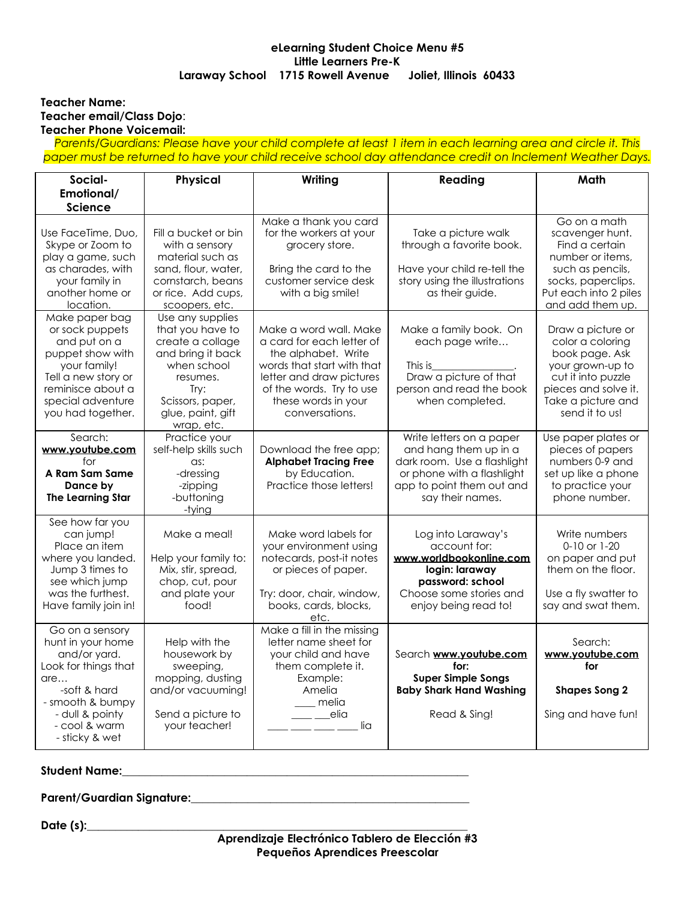## **eLearning Student Choice Menu #5 Little Learners Pre-K Laraway School 1715 Rowell Avenue Joliet, Illinois 60433**

## **Teacher Name: Teacher email/Class Dojo**: **Teacher Phone Voicemail:**

Parents/Guardians: Please have your child complete at least 1 item in each learning area and circle it. This *paper must be returned to have your child receive school day attendance credit on Inclement Weather Days.*

| Social-                                                                                                                                                                       | Physical                                                                                                                                                                | Writing                                                                                                                                                                                                                                                                                                                                                                                                                                                                         | Reading                                                                                                                                                                                                                               | Math                                                                                                                                                              |
|-------------------------------------------------------------------------------------------------------------------------------------------------------------------------------|-------------------------------------------------------------------------------------------------------------------------------------------------------------------------|---------------------------------------------------------------------------------------------------------------------------------------------------------------------------------------------------------------------------------------------------------------------------------------------------------------------------------------------------------------------------------------------------------------------------------------------------------------------------------|---------------------------------------------------------------------------------------------------------------------------------------------------------------------------------------------------------------------------------------|-------------------------------------------------------------------------------------------------------------------------------------------------------------------|
| Emotional/                                                                                                                                                                    |                                                                                                                                                                         |                                                                                                                                                                                                                                                                                                                                                                                                                                                                                 |                                                                                                                                                                                                                                       |                                                                                                                                                                   |
| <b>Science</b>                                                                                                                                                                |                                                                                                                                                                         |                                                                                                                                                                                                                                                                                                                                                                                                                                                                                 |                                                                                                                                                                                                                                       |                                                                                                                                                                   |
| Use FaceTime, Duo,<br>Skype or Zoom to<br>play a game, such<br>as charades, with<br>your family in<br>another home or<br>location.                                            | Fill a bucket or bin<br>with a sensory<br>material such as<br>sand, flour, water,<br>cornstarch, beans<br>or rice. Add cups,<br>scoopers, etc.                          | Make a thank you card<br>for the workers at your<br>grocery store.<br>Bring the card to the<br>customer service desk<br>with a big smile!                                                                                                                                                                                                                                                                                                                                       | Take a picture walk<br>through a favorite book.<br>Have your child re-tell the<br>story using the illustrations<br>as their guide.                                                                                                    | Go on a math<br>scavenger hunt.<br>Find a certain<br>number or items,<br>such as pencils,<br>socks, paperclips.<br>Put each into 2 piles<br>and add them up.      |
| Make paper bag<br>or sock puppets<br>and put on a<br>puppet show with<br>your family!<br>Tell a new story or<br>reminisce about a<br>special adventure<br>you had together.   | Use any supplies<br>that you have to<br>create a collage<br>and bring it back<br>when school<br>resumes.<br>Try:<br>Scissors, paper,<br>glue, paint, gift<br>wrap, etc. | Make a word wall. Make<br>a card for each letter of<br>the alphabet. Write<br>words that start with that<br>letter and draw pictures<br>of the words. Try to use<br>these words in your<br>conversations.                                                                                                                                                                                                                                                                       | Make a family book. On<br>each page write<br>This is the control of the control of the control of the control of the control of the control of the control o<br>Draw a picture of that<br>person and read the book<br>when completed. | Draw a picture or<br>color a coloring<br>book page. Ask<br>your grown-up to<br>cut it into puzzle<br>pieces and solve it.<br>Take a picture and<br>send it to us! |
| Search:<br>www.youtube.com<br>for<br>A Ram Sam Same<br>Dance by<br><b>The Learning Star</b>                                                                                   | Practice your<br>self-help skills such<br>as:<br>-dressing<br>-zipping<br>-buttoning<br>-tying                                                                          | Download the free app;<br><b>Alphabet Tracing Free</b><br>by Education.<br>Practice those letters!                                                                                                                                                                                                                                                                                                                                                                              | Write letters on a paper<br>and hang them up in a<br>dark room. Use a flashlight<br>or phone with a flashlight<br>app to point them out and<br>say their names.                                                                       | Use paper plates or<br>pieces of papers<br>numbers 0-9 and<br>set up like a phone<br>to practice your<br>phone number.                                            |
| See how far you<br>can jump!<br>Place an item<br>where you landed.<br>Jump 3 times to<br>see which jump<br>was the furthest.<br>Have family join in!                          | Make a meal!<br>Help your family to:<br>Mix, stir, spread,<br>chop, cut, pour<br>and plate your<br>food!                                                                | Make word labels for<br>your environment using<br>notecards, post-it notes<br>or pieces of paper.<br>Try: door, chair, window,<br>books, cards, blocks,<br>etc.                                                                                                                                                                                                                                                                                                                 | Log into Laraway's<br>account for:<br>www.worldbookonline.com<br>login: laraway<br>password: school<br>Choose some stories and<br>enjoy being read to!                                                                                | Write numbers<br>0-10 or 1-20<br>on paper and put<br>them on the floor.<br>Use a fly swatter to<br>say and swat them.                                             |
| Go on a sensory<br>hunt in your home<br>and/or yard.<br>Look for things that<br>are<br>-soft & hard<br>- smooth & bumpy<br>- dull & pointy<br>- cool & warm<br>- sticky & wet | Help with the<br>housework by<br>sweeping,<br>mopping, dusting<br>and/or vacuuming!<br>Send a picture to<br>your teacher!                                               | Make a fill in the missing<br>letter name sheet for<br>your child and have<br>them complete it.<br>Example:<br>Amelia<br>melia<br>$\rule{1em}{0.15mm}$ $\rule{1em}{0.15mm}$ $\rule{1em}{0.15mm}$ $\qquad$ $\rule{1em}{0.15mm}$ $\qquad$ $\qquad$ $\qquad$ $\qquad$ $\qquad$ $\qquad$ $\qquad$ $\qquad$ $\qquad$ $\qquad$ $\qquad$ $\qquad$ $\qquad$ $\qquad$ $\qquad$ $\qquad$ $\qquad$ $\qquad$ $\qquad$ $\qquad$ $\qquad$ $\qquad$ $\qquad$ $\qquad$ $\qquad$ $\qquad$<br>lia | Search www.youtube.com<br>for:<br><b>Super Simple Songs</b><br><b>Baby Shark Hand Washing</b><br>Read & Sing!                                                                                                                         | Search:<br>www.youtube.com<br>for<br><b>Shapes Song 2</b><br>Sing and have fun!                                                                                   |

**Student Name:\_\_\_\_\_\_\_\_\_\_\_\_\_\_\_\_\_\_\_\_\_\_\_\_\_\_\_\_\_\_\_\_\_\_\_\_\_\_\_\_\_\_\_\_\_\_\_\_\_\_\_\_\_\_\_\_\_\_\_\_\_**

**Parent/Guardian Signature:\_\_\_\_\_\_\_\_\_\_\_\_\_\_\_\_\_\_\_\_\_\_\_\_\_\_\_\_\_\_\_\_\_\_\_\_\_\_\_\_\_\_\_\_\_\_\_\_\_**

**Date (s):\_\_\_\_\_\_\_\_\_\_\_\_\_\_\_\_\_\_\_\_\_\_\_\_\_\_\_\_\_\_\_\_\_\_\_\_\_\_\_\_\_\_\_\_\_\_\_\_\_\_\_\_\_\_\_\_\_\_\_\_\_\_\_\_\_\_\_**